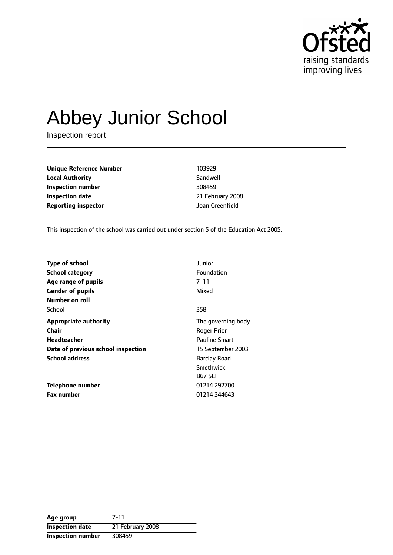

# Abbey Junior School

Inspection report

**Unique Reference Number** 103929 **Local Authority** Sandwell **Inspection number** 308459 **Inspection date** 21 February 2008 **Reporting inspector COVAL COVAL COVAL COVAL COVAL COVAL COVAL COVAL COVAL COVAL COVAL COVAL COVAL COVAL COVAL COVA** 

This inspection of the school was carried out under section 5 of the Education Act 2005.

| <b>Type of school</b>              | Junior               |
|------------------------------------|----------------------|
| <b>School category</b>             | <b>Foundation</b>    |
| Age range of pupils                | $7 - 11$             |
| <b>Gender of pupils</b>            | Mixed                |
| Number on roll                     |                      |
| School                             | 358                  |
| <b>Appropriate authority</b>       | The governing body   |
| Chair                              | Roger Prior          |
| <b>Headteacher</b>                 | <b>Pauline Smart</b> |
| Date of previous school inspection | 15 September 2003    |
| <b>School address</b>              | <b>Barclay Road</b>  |
|                                    | <b>Smethwick</b>     |
|                                    | <b>B67 5LT</b>       |
| Telephone number                   | 01214 292700         |
| <b>Fax number</b>                  | 01214 344643         |

**Age group** 7-11 **Inspection date** 21 February 2008 **Inspection number** 308459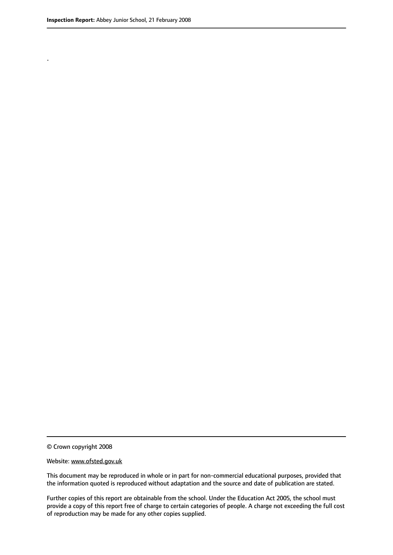.

© Crown copyright 2008

#### Website: www.ofsted.gov.uk

This document may be reproduced in whole or in part for non-commercial educational purposes, provided that the information quoted is reproduced without adaptation and the source and date of publication are stated.

Further copies of this report are obtainable from the school. Under the Education Act 2005, the school must provide a copy of this report free of charge to certain categories of people. A charge not exceeding the full cost of reproduction may be made for any other copies supplied.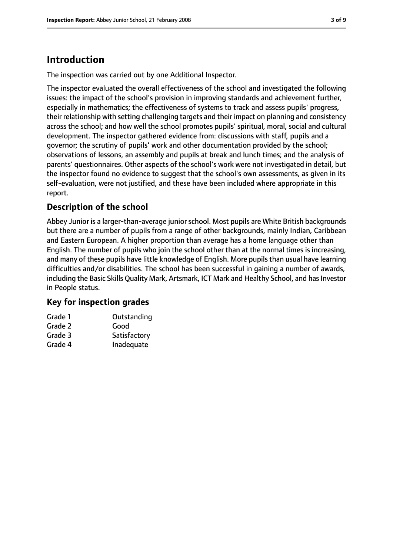# **Introduction**

The inspection was carried out by one Additional Inspector.

The inspector evaluated the overall effectiveness of the school and investigated the following issues: the impact of the school's provision in improving standards and achievement further, especially in mathematics; the effectiveness of systems to track and assess pupils' progress, their relationship with setting challenging targets and their impact on planning and consistency across the school; and how well the school promotes pupils' spiritual, moral, social and cultural development. The inspector gathered evidence from: discussions with staff, pupils and a governor; the scrutiny of pupils' work and other documentation provided by the school; observations of lessons, an assembly and pupils at break and lunch times; and the analysis of parents' questionnaires. Other aspects of the school's work were not investigated in detail, but the inspector found no evidence to suggest that the school's own assessments, as given in its self-evaluation, were not justified, and these have been included where appropriate in this report.

# **Description of the school**

Abbey Junior is a larger-than-average junior school. Most pupils are White British backgrounds but there are a number of pupils from a range of other backgrounds, mainly Indian, Caribbean and Eastern European. A higher proportion than average has a home language other than English. The number of pupils who join the school other than at the normal times is increasing, and many of these pupils have little knowledge of English. More pupils than usual have learning difficulties and/or disabilities. The school has been successful in gaining a number of awards, including the Basic Skills Quality Mark, Artsmark, ICT Mark and Healthy School, and has Investor in People status.

## **Key for inspection grades**

| Grade 1 | Outstanding  |
|---------|--------------|
| Grade 2 | Good         |
| Grade 3 | Satisfactory |
| Grade 4 | Inadequate   |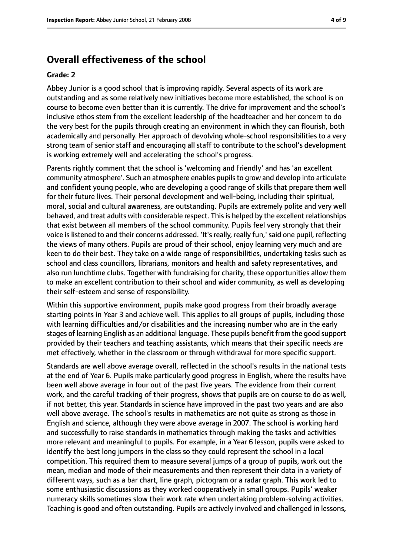# **Overall effectiveness of the school**

#### **Grade: 2**

Abbey Junior is a good school that is improving rapidly. Several aspects of its work are outstanding and as some relatively new initiatives become more established, the school is on course to become even better than it is currently. The drive for improvement and the school's inclusive ethos stem from the excellent leadership of the headteacher and her concern to do the very best for the pupils through creating an environment in which they can flourish, both academically and personally. Her approach of devolving whole-school responsibilities to a very strong team of senior staff and encouraging all staff to contribute to the school's development is working extremely well and accelerating the school's progress.

Parents rightly comment that the school is 'welcoming and friendly' and has 'an excellent community atmosphere'. Such an atmosphere enables pupilsto grow and develop into articulate and confident young people, who are developing a good range of skills that prepare them well for their future lives. Their personal development and well-being, including their spiritual, moral, social and cultural awareness, are outstanding. Pupils are extremely polite and very well behaved, and treat adults with considerable respect. Thisis helped by the excellent relationships that exist between all members of the school community. Pupils feel very strongly that their voice is listened to and their concerns addressed. 'It's really, really fun,' said one pupil, reflecting the views of many others. Pupils are proud of their school, enjoy learning very much and are keen to do their best. They take on a wide range of responsibilities, undertaking tasks such as school and class councillors, librarians, monitors and health and safety representatives, and also run lunchtime clubs. Together with fundraising for charity, these opportunities allow them to make an excellent contribution to their school and wider community, as well as developing their self-esteem and sense of responsibility.

Within this supportive environment, pupils make good progress from their broadly average starting points in Year 3 and achieve well. This applies to all groups of pupils, including those with learning difficulties and/or disabilities and the increasing number who are in the early stages of learning English as an additional language. These pupils benefit from the good support provided by their teachers and teaching assistants, which means that their specific needs are met effectively, whether in the classroom or through withdrawal for more specific support.

Standards are well above average overall, reflected in the school's results in the national tests at the end of Year 6. Pupils make particularly good progress in English, where the results have been well above average in four out of the past five years. The evidence from their current work, and the careful tracking of their progress, shows that pupils are on course to do as well, if not better, this year. Standards in science have improved in the past two years and are also well above average. The school's results in mathematics are not quite as strong as those in English and science, although they were above average in 2007. The school is working hard and successfully to raise standards in mathematics through making the tasks and activities more relevant and meaningful to pupils. For example, in a Year 6 lesson, pupils were asked to identify the best long jumpers in the class so they could represent the school in a local competition. This required them to measure several jumps of a group of pupils, work out the mean, median and mode of their measurements and then represent their data in a variety of different ways, such as a bar chart, line graph, pictogram or a radar graph. This work led to some enthusiastic discussions as they worked cooperatively in small groups. Pupils' weaker numeracy skills sometimes slow their work rate when undertaking problem-solving activities. Teaching is good and often outstanding. Pupils are actively involved and challenged in lessons,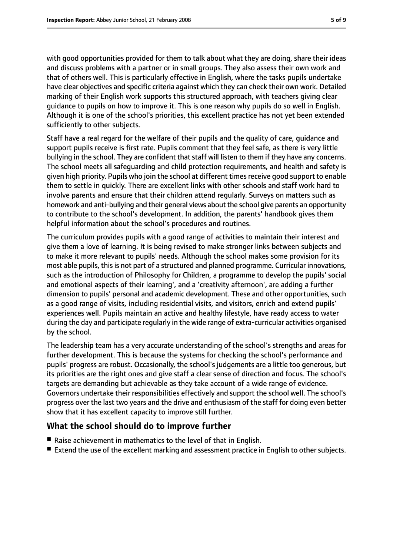with good opportunities provided for them to talk about what they are doing, share their ideas and discuss problems with a partner or in small groups. They also assess their own work and that of others well. This is particularly effective in English, where the tasks pupils undertake have clear objectives and specific criteria against which they can check their own work. Detailed marking of their English work supports this structured approach, with teachers giving clear guidance to pupils on how to improve it. This is one reason why pupils do so well in English. Although it is one of the school's priorities, this excellent practice has not yet been extended sufficiently to other subjects.

Staff have a real regard for the welfare of their pupils and the quality of care, guidance and support pupils receive is first rate. Pupils comment that they feel safe, as there is very little bullying in the school. They are confident that staff will listen to them if they have any concerns. The school meets all safeguarding and child protection requirements, and health and safety is given high priority. Pupils who join the school at different times receive good support to enable them to settle in quickly. There are excellent links with other schools and staff work hard to involve parents and ensure that their children attend regularly. Surveys on matters such as homework and anti-bullying and their general views about the school give parents an opportunity to contribute to the school's development. In addition, the parents' handbook gives them helpful information about the school's procedures and routines.

The curriculum provides pupils with a good range of activities to maintain their interest and give them a love of learning. It is being revised to make stronger links between subjects and to make it more relevant to pupils' needs. Although the school makes some provision for its most able pupils, thisis not part of a structured and planned programme. Curricular innovations, such as the introduction of Philosophy for Children, a programme to develop the pupils' social and emotional aspects of their learning', and a 'creativity afternoon', are adding a further dimension to pupils' personal and academic development. These and other opportunities, such as a good range of visits, including residential visits, and visitors, enrich and extend pupils' experiences well. Pupils maintain an active and healthy lifestyle, have ready access to water during the day and participate regularly in the wide range of extra-curricular activities organised by the school.

The leadership team has a very accurate understanding of the school's strengths and areas for further development. This is because the systems for checking the school's performance and pupils' progress are robust. Occasionally, the school's judgements are a little too generous, but its priorities are the right ones and give staff a clear sense of direction and focus. The school's targets are demanding but achievable as they take account of a wide range of evidence. Governors undertake their responsibilities effectively and support the school well. The school's progress over the last two years and the drive and enthusiasm of the staff for doing even better show that it has excellent capacity to improve still further.

# **What the school should do to improve further**

- Raise achievement in mathematics to the level of that in English.
- Extend the use of the excellent marking and assessment practice in English to other subjects.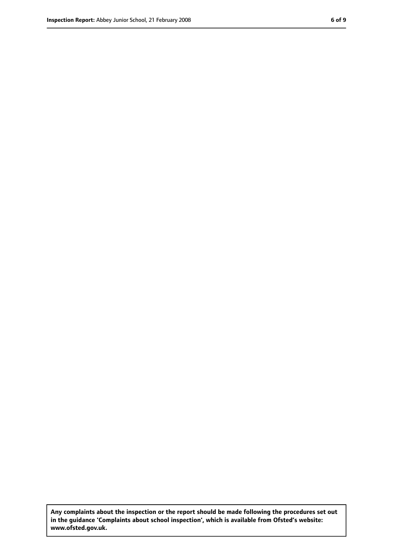**Any complaints about the inspection or the report should be made following the procedures set out in the guidance 'Complaints about school inspection', which is available from Ofsted's website: www.ofsted.gov.uk.**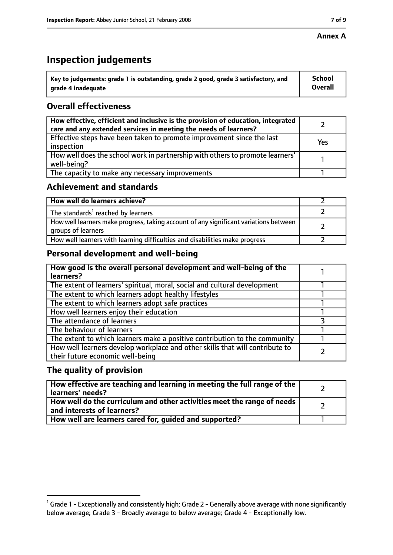#### **Annex A**

# **Inspection judgements**

| $^{\circ}$ Key to judgements: grade 1 is outstanding, grade 2 good, grade 3 satisfactory, and | <b>School</b>  |
|-----------------------------------------------------------------------------------------------|----------------|
| arade 4 inadeguate                                                                            | <b>Overall</b> |

# **Overall effectiveness**

| How effective, efficient and inclusive is the provision of education, integrated<br>care and any extended services in meeting the needs of learners? |     |
|------------------------------------------------------------------------------------------------------------------------------------------------------|-----|
| Effective steps have been taken to promote improvement since the last<br>inspection                                                                  | Yes |
| How well does the school work in partnership with others to promote learners'<br>well-being?                                                         |     |
| The capacity to make any necessary improvements                                                                                                      |     |

# **Achievement and standards**

| How well do learners achieve?                                                                               |  |
|-------------------------------------------------------------------------------------------------------------|--|
| The standards <sup>1</sup> reached by learners                                                              |  |
| How well learners make progress, taking account of any significant variations between<br>groups of learners |  |
| How well learners with learning difficulties and disabilities make progress                                 |  |

# **Personal development and well-being**

| How good is the overall personal development and well-being of the<br>learners?                                  |  |
|------------------------------------------------------------------------------------------------------------------|--|
| The extent of learners' spiritual, moral, social and cultural development                                        |  |
| The extent to which learners adopt healthy lifestyles                                                            |  |
| The extent to which learners adopt safe practices                                                                |  |
| How well learners enjoy their education                                                                          |  |
| The attendance of learners                                                                                       |  |
| The behaviour of learners                                                                                        |  |
| The extent to which learners make a positive contribution to the community                                       |  |
| How well learners develop workplace and other skills that will contribute to<br>their future economic well-being |  |

## **The quality of provision**

| How effective are teaching and learning in meeting the full range of the<br>learners' needs?            |  |
|---------------------------------------------------------------------------------------------------------|--|
| How well do the curriculum and other activities meet the range of needs  <br>and interests of learners? |  |
| How well are learners cared for, guided and supported?                                                  |  |

 $^1$  Grade 1 - Exceptionally and consistently high; Grade 2 - Generally above average with none significantly below average; Grade 3 - Broadly average to below average; Grade 4 - Exceptionally low.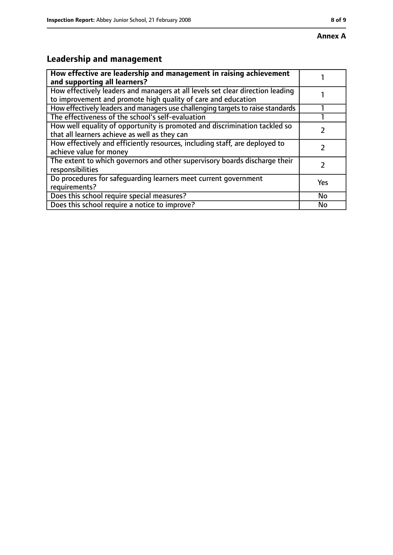# **Leadership and management**

| How effective are leadership and management in raising achievement<br>and supporting all learners?                                              |     |
|-------------------------------------------------------------------------------------------------------------------------------------------------|-----|
| How effectively leaders and managers at all levels set clear direction leading<br>to improvement and promote high quality of care and education |     |
| How effectively leaders and managers use challenging targets to raise standards                                                                 |     |
| The effectiveness of the school's self-evaluation                                                                                               |     |
| How well equality of opportunity is promoted and discrimination tackled so<br>that all learners achieve as well as they can                     |     |
| How effectively and efficiently resources, including staff, are deployed to<br>achieve value for money                                          |     |
| The extent to which governors and other supervisory boards discharge their<br>responsibilities                                                  |     |
| Do procedures for safequarding learners meet current government<br>requirements?                                                                | Yes |
| Does this school require special measures?                                                                                                      | No  |
| Does this school require a notice to improve?                                                                                                   | No  |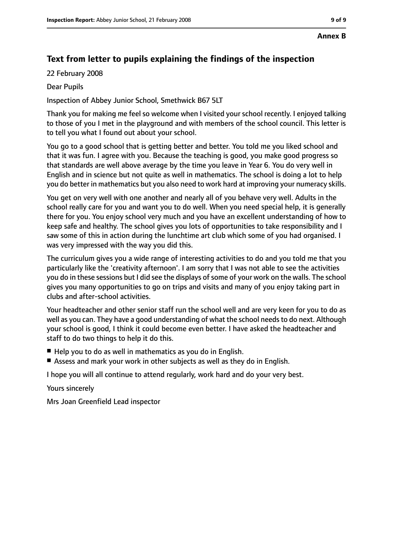# **Text from letter to pupils explaining the findings of the inspection**

22 February 2008

Dear Pupils

Inspection of Abbey Junior School, Smethwick B67 5LT

Thank you for making me feel so welcome when I visited your school recently. I enjoyed talking to those of you I met in the playground and with members of the school council. This letter is to tell you what I found out about your school.

You go to a good school that is getting better and better. You told me you liked school and that it was fun. I agree with you. Because the teaching is good, you make good progress so that standards are well above average by the time you leave in Year 6. You do very well in English and in science but not quite as well in mathematics. The school is doing a lot to help you do better in mathematics but you also need to work hard at improving your numeracy skills.

You get on very well with one another and nearly all of you behave very well. Adults in the school really care for you and want you to do well. When you need special help, it is generally there for you. You enjoy school very much and you have an excellent understanding of how to keep safe and healthy. The school gives you lots of opportunities to take responsibility and I saw some of this in action during the lunchtime art club which some of you had organised. I was very impressed with the way you did this.

The curriculum gives you a wide range of interesting activities to do and you told me that you particularly like the 'creativity afternoon'. I am sorry that I was not able to see the activities you do in these sessions but I did see the displays of some of your work on the walls. The school gives you many opportunities to go on trips and visits and many of you enjoy taking part in clubs and after-school activities.

Your headteacher and other senior staff run the school well and are very keen for you to do as well as you can. They have a good understanding of what the school needs to do next. Although your school is good, I think it could become even better. I have asked the headteacher and staff to do two things to help it do this.

- Help you to do as well in mathematics as you do in English.
- Assess and mark your work in other subjects as well as they do in English.

I hope you will all continue to attend regularly, work hard and do your very best.

Yours sincerely

Mrs Joan Greenfield Lead inspector